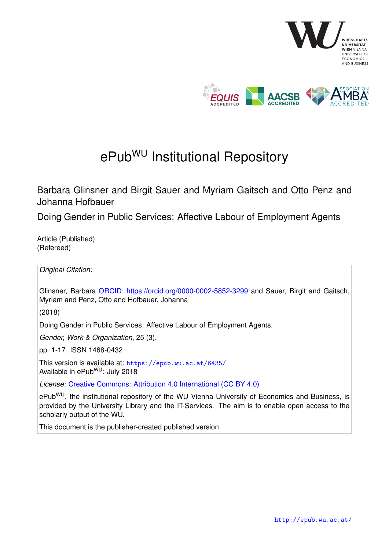

# ePub<sup>WU</sup> Institutional Repository

Barbara Glinsner and Birgit Sauer and Myriam Gaitsch and Otto Penz and Johanna Hofbauer

Doing Gender in Public Services: Affective Labour of Employment Agents

Article (Published) (Refereed)

*Original Citation:*

Glinsner, Barbara [ORCID: https://orcid.org/0000-0002-5852-3299](https://orcid.org/0000-0002-5852-3299) and Sauer, Birgit and Gaitsch. Myriam and Penz, Otto and Hofbauer, Johanna

(2018)

Doing Gender in Public Services: Affective Labour of Employment Agents.

*Gender, Work & Organization*, 25 (3).

pp. 1-17. ISSN 1468-0432

This version is available at: <https://epub.wu.ac.at/6435/> Available in ePubWU: July 2018

*License:* [Creative Commons: Attribution 4.0 International \(CC BY 4.0\)](https://creativecommons.org/licenses/by/4.0/deed.en)

ePub<sup>WU</sup>, the institutional repository of the WU Vienna University of Economics and Business, is provided by the University Library and the IT-Services. The aim is to enable open access to the scholarly output of the WU.

This document is the publisher-created published version.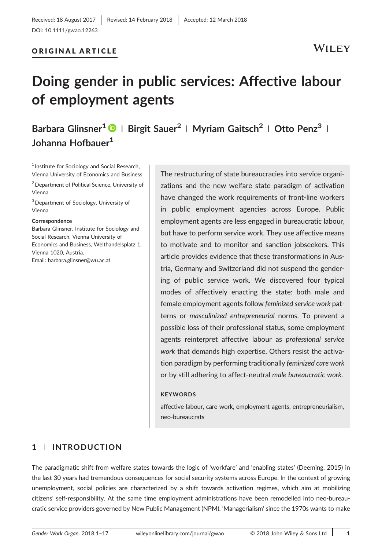## ORIGINAL ARTICLE

# Doing gender in public services: Affective labour of employment agents

## Barbara Glinsner<sup>1</sup> | Birgit Sauer<sup>2</sup> | Myriam Gaitsch<sup>2</sup> | Otto Penz<sup>3</sup> | Johanna Hofbauer<sup>1</sup>

<sup>1</sup> Institute for Sociology and Social Research, Vienna University of Economics and Business

2Department of Political Science, University of Vienna

<sup>3</sup> Department of Sociology, University of Vienna

#### Correspondence

Barbara Glinsner, Institute for Sociology and Social Research, Vienna University of Economics and Business, Welthandelsplatz 1, Vienna 1020, Austria. Email: [barbara.glinsner@wu.ac.at](mailto:barbara.glinsner@wu.ac.at)

The restructuring of state bureaucracies into service organizations and the new welfare state paradigm of activation have changed the work requirements of front-line workers in public employment agencies across Europe. Public employment agents are less engaged in bureaucratic labour, but have to perform service work. They use affective means to motivate and to monitor and sanction jobseekers. This article provides evidence that these transformations in Austria, Germany and Switzerland did not suspend the gendering of public service work. We discovered four typical modes of affectively enacting the state: both male and female employment agents follow feminized service work patterns or masculinized entrepreneurial norms. To prevent a possible loss of their professional status, some employment agents reinterpret affective labour as professional service work that demands high expertise. Others resist the activation paradigm by performing traditionally feminized care work or by still adhering to affect‐neutral male bureaucratic work.

#### **KEYWORDS**

affective labour, care work, employment agents, entrepreneurialism, neo‐bureaucrats

### 1 | INTRODUCTION

The paradigmatic shift from welfare states towards the logic of 'workfare' and 'enabling states' (Deeming, 2015) in the last 30 years had tremendous consequences for social security systems across Europe. In the context of growing unemployment, social policies are characterized by a shift towards activation regimes, which aim at mobilizing citizens' self‐responsibility. At the same time employment administrations have been remodelled into neo‐bureaucratic service providers governed by New Public Management (NPM). 'Managerialism' since the 1970s wants to make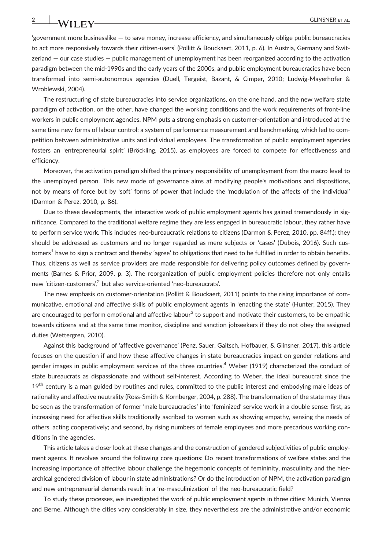'government more businesslike — to save money, increase efficiency, and simultaneously oblige public bureaucracies to act more responsively towards their citizen-users' (Pollitt & Bouckaert, 2011, p. 6). In Austria, Germany and Switzerland — our case studies — public management of unemployment has been reorganized according to the activation paradigm between the mid‐1990s and the early years of the 2000s, and public employment bureaucracies have been transformed into semi‐autonomous agencies (Duell, Tergeist, Bazant, & Cimper, 2010; Ludwig‐Mayerhofer & Wroblewski, 2004).

The restructuring of state bureaucracies into service organizations, on the one hand, and the new welfare state paradigm of activation, on the other, have changed the working conditions and the work requirements of front‐line workers in public employment agencies. NPM puts a strong emphasis on customer-orientation and introduced at the same time new forms of labour control: a system of performance measurement and benchmarking, which led to competition between administrative units and individual employees. The transformation of public employment agencies fosters an 'entrepreneurial spirit' (Bröckling, 2015), as employees are forced to compete for effectiveness and efficiency.

Moreover, the activation paradigm shifted the primary responsibility of unemployment from the macro level to the unemployed person. This new mode of governance aims at modifying people's motivations and dispositions, not by means of force but by 'soft' forms of power that include the 'modulation of the affects of the individual' (Darmon & Perez, 2010, p. 86).

Due to these developments, the interactive work of public employment agents has gained tremendously in significance. Compared to the traditional welfare regime they are less engaged in bureaucratic labour, they rather have to perform service work. This includes neo-bureaucratic relations to citizens (Darmon & Perez, 2010, pp. 84ff.): they should be addressed as customers and no longer regarded as mere subjects or 'cases' (Dubois, 2016). Such customers<sup>1</sup> have to sign a contract and thereby 'agree' to obligations that need to be fulfilled in order to obtain benefits. Thus, citizens as well as service providers are made responsible for delivering policy outcomes defined by governments (Barnes & Prior, 2009, p. 3). The reorganization of public employment policies therefore not only entails new 'citizen-customers',<sup>2</sup> but also service-oriented 'neo-bureaucrats'.

The new emphasis on customer-orientation (Pollitt & Bouckaert, 2011) points to the rising importance of communicative, emotional and affective skills of public employment agents in 'enacting the state' (Hunter, 2015). They are encouraged to perform emotional and affective labour<sup>3</sup> to support and motivate their customers, to be empathic towards citizens and at the same time monitor, discipline and sanction jobseekers if they do not obey the assigned duties (Wettergren, 2010).

Against this background of 'affective governance' (Penz, Sauer, Gaitsch, Hofbauer, & Glinsner, 2017), this article focuses on the question if and how these affective changes in state bureaucracies impact on gender relations and gender images in public employment services of the three countries.<sup>4</sup> Weber (1919) characterized the conduct of state bureaucrats as dispassionate and without self‐interest. According to Weber, the ideal bureaucrat since the 19<sup>th</sup> century is a man guided by routines and rules, committed to the public interest and embodying male ideas of rationality and affective neutrality (Ross‐Smith & Kornberger, 2004, p. 288). The transformation of the state may thus be seen as the transformation of former 'male bureaucracies' into 'feminized' service work in a double sense: first, as increasing need for affective skills traditionally ascribed to women such as showing empathy, sensing the needs of others, acting cooperatively; and second, by rising numbers of female employees and more precarious working conditions in the agencies.

This article takes a closer look at these changes and the construction of gendered subjectivities of public employment agents. It revolves around the following core questions: Do recent transformations of welfare states and the increasing importance of affective labour challenge the hegemonic concepts of femininity, masculinity and the hierarchical gendered division of labour in state administrations? Or do the introduction of NPM, the activation paradigm and new entrepreneurial demands result in a 're-masculinization' of the neo-bureaucratic field?

To study these processes, we investigated the work of public employment agents in three cities: Munich, Vienna and Berne. Although the cities vary considerably in size, they nevertheless are the administrative and/or economic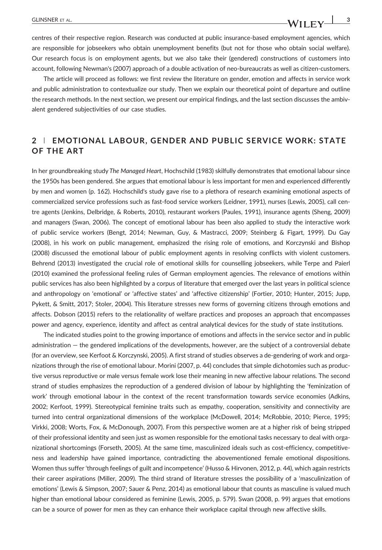centres of their respective region. Research was conducted at public insurance‐based employment agencies, which are responsible for jobseekers who obtain unemployment benefits (but not for those who obtain social welfare). Our research focus is on employment agents, but we also take their (gendered) constructions of customers into

account, following Newman's (2007) approach of a double activation of neo-bureaucrats as well as citizen-customers. The article will proceed as follows: we first review the literature on gender, emotion and affects in service work and public administration to contextualize our study. Then we explain our theoretical point of departure and outline the research methods. In the next section, we present our empirical findings, and the last section discusses the ambivalent gendered subjectivities of our case studies.

## 2 | EMOTIONAL LABOUR, GENDER AND PUBLIC SERVICE WORK: STATE OF THE ART

In her groundbreaking study The Managed Heart, Hochschild (1983) skilfully demonstrates that emotional labour since the 1950s has been gendered. She argues that emotional labour is less important for men and experienced differently by men and women (p. 162). Hochschild's study gave rise to a plethora of research examining emotional aspects of commercialized service professions such as fast-food service workers (Leidner, 1991), nurses (Lewis, 2005), call centre agents (Jenkins, Delbridge, & Roberts, 2010), restaurant workers (Paules, 1991), insurance agents (Sheng, 2009) and managers (Swan, 2006). The concept of emotional labour has been also applied to study the interactive work of public service workers (Bengt, 2014; Newman, Guy, & Mastracci, 2009; Steinberg & Figart, 1999). Du Gay (2008), in his work on public management, emphasized the rising role of emotions, and Korczynski and Bishop (2008) discussed the emotional labour of public employment agents in resolving conflicts with violent customers. Behrend (2013) investigated the crucial role of emotional skills for counselling jobseekers, while Terpe and Paierl (2010) examined the professional feeling rules of German employment agencies. The relevance of emotions within public services has also been highlighted by a corpus of literature that emerged over the last years in political science and anthropology on 'emotional' or 'affective states' and 'affective citizenship' (Fortier, 2010; Hunter, 2015; Jupp, Pykett, & Smitt, 2017; Stoler, 2004). This literature stresses new forms of governing citizens through emotions and affects. Dobson (2015) refers to the relationality of welfare practices and proposes an approach that encompasses power and agency, experience, identity and affect as central analytical devices for the study of state institutions.

The indicated studies point to the growing importance of emotions and affects in the service sector and in public administration — the gendered implications of the developments, however, are the subject of a controversial debate (for an overview, see Kerfoot & Korczynski, 2005). A first strand of studies observes a de‐gendering of work and organizations through the rise of emotional labour. Morini (2007, p. 44) concludes that simple dichotomies such as productive versus reproductive or male versus female work lose their meaning in new affective labour relations. The second strand of studies emphasizes the reproduction of a gendered division of labour by highlighting the 'feminization of work' through emotional labour in the context of the recent transformation towards service economies (Adkins, 2002; Kerfoot, 1999). Stereotypical feminine traits such as empathy, cooperation, sensitivity and connectivity are turned into central organizational dimensions of the workplace (McDowell, 2014; McRobbie, 2010; Pierce, 1995; Virkki, 2008; Worts, Fox, & McDonough, 2007). From this perspective women are at a higher risk of being stripped of their professional identity and seen just as women responsible for the emotional tasks necessary to deal with organizational shortcomings (Forseth, 2005). At the same time, masculinized ideals such as cost-efficiency, competitiveness and leadership have gained importance, contradicting the abovementioned female emotional dispositions. Women thus suffer 'through feelings of guilt and incompetence' (Husso & Hirvonen, 2012, p. 44), which again restricts their career aspirations (Miller, 2009). The third strand of literature stresses the possibility of a 'masculinization of emotions' (Lewis & Simpson, 2007; Sauer & Penz, 2014) as emotional labour that counts as masculine is valued much higher than emotional labour considered as feminine (Lewis, 2005, p. 579). Swan (2008, p. 99) argues that emotions can be a source of power for men as they can enhance their workplace capital through new affective skills.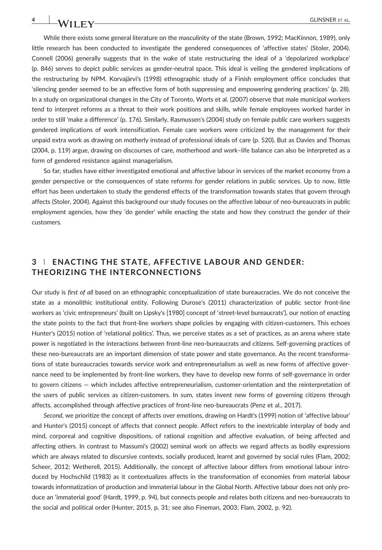While there exists some general literature on the masculinity of the state (Brown, 1992; MacKinnon, 1989), only little research has been conducted to investigate the gendered consequences of 'affective states' (Stoler, 2004). Connell (2006) generally suggests that in the wake of state restructuring the ideal of a 'depolarized workplace' (p. 846) serves to depict public services as gender‐neutral space. This ideal is veiling the gendered implications of the restructuring by NPM. Korvajärvi's (1998) ethnographic study of a Finish employment office concludes that 'silencing gender seemed to be an effective form of both suppressing and empowering gendering practices' (p. 28). In a study on organizational changes in the City of Toronto, Worts et al. (2007) observe that male municipal workers tend to interpret reforms as a threat to their work positions and skills, while female employees worked harder in order to still 'make a difference' (p. 176). Similarly, Rasmussen's (2004) study on female public care workers suggests gendered implications of work intensification. Female care workers were criticized by the management for their unpaid extra work as drawing on motherly instead of professional ideals of care (p. 520). But as Davies and Thomas (2004, p. 119) argue, drawing on discourses of care, motherhood and work–life balance can also be interpreted as a form of gendered resistance against managerialism.

So far, studies have either investigated emotional and affective labour in services of the market economy from a gender perspective or the consequences of state reforms for gender relations in public services. Up to now, little effort has been undertaken to study the gendered effects of the transformation towards states that govern through affects (Stoler, 2004). Against this background our study focuses on the affective labour of neo-bureaucrats in public employment agencies, how they 'do gender' while enacting the state and how they construct the gender of their customers.

## 3 | ENACTING THE STATE, AFFECTIVE LABOUR AND GENDER: THEORIZING THE INTERCONNECTIONS

Our study is first of all based on an ethnographic conceptualization of state bureaucracies. We do not conceive the state as a monolithic institutional entity. Following Durose's (2011) characterization of public sector front‐line workers as 'civic entrepreneurs' (built on Lipsky's [1980] concept of 'street‐level bureaucrats'), our notion of enacting the state points to the fact that front-line workers shape policies by engaging with citizen-customers. This echoes Hunter's (2015) notion of 'relational politics'. Thus, we perceive states as a set of practices, as an arena where state power is negotiated in the interactions between front‐line neo‐bureaucrats and citizens. Self‐governing practices of these neo‐bureaucrats are an important dimension of state power and state governance. As the recent transformations of state bureaucracies towards service work and entrepreneurialism as well as new forms of affective governance need to be implemented by front‐line workers, they have to develop new forms of self‐governance in order to govern citizens — which includes affective entrepreneurialism, customer‐orientation and the reinterpretation of the users of public services as citizen‐customers. In sum, states invent new forms of governing citizens through affects, accomplished through affective practices of front-line neo-bureaucrats (Penz et al., 2017).

Second, we prioritize the concept of affects over emotions, drawing on Hardt's (1999) notion of 'affective labour' and Hunter's (2015) concept of affects that connect people. Affect refers to the inextricable interplay of body and mind, corporeal and cognitive dispositions, of rational cognition and affective evaluation, of being affected and affecting others. In contrast to Massumi's (2002) seminal work on affects we regard affects as bodily expressions which are always related to discursive contexts, socially produced, learnt and governed by social rules (Flam, 2002; Scheer, 2012; Wetherell, 2015). Additionally, the concept of affective labour differs from emotional labour introduced by Hochschild (1983) as it contextualizes affects in the transformation of economies from material labour towards informatization of production and immaterial labour in the Global North. Affective labour does not only produce an 'immaterial good' (Hardt, 1999, p. 94), but connects people and relates both citizens and neo‐bureaucrats to the social and political order (Hunter, 2015, p. 31; see also Fineman, 2003; Flam, 2002, p. 92).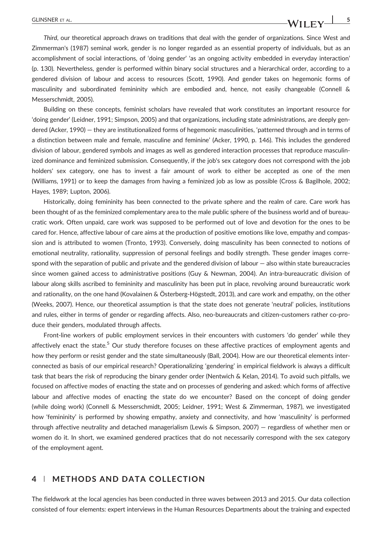Third, our theoretical approach draws on traditions that deal with the gender of organizations. Since West and Zimmerman's (1987) seminal work, gender is no longer regarded as an essential property of individuals, but as an accomplishment of social interactions, of 'doing gender' 'as an ongoing activity embedded in everyday interaction' (p. 130). Nevertheless, gender is performed within binary social structures and a hierarchical order, according to a gendered division of labour and access to resources (Scott, 1990). And gender takes on hegemonic forms of masculinity and subordinated femininity which are embodied and, hence, not easily changeable (Connell & Messerschmidt, 2005).

Building on these concepts, feminist scholars have revealed that work constitutes an important resource for 'doing gender' (Leidner, 1991; Simpson, 2005) and that organizations, including state administrations, are deeply gendered (Acker, 1990) — they are institutionalized forms of hegemonic masculinities, 'patterned through and in terms of a distinction between male and female, masculine and feminine' (Acker, 1990, p. 146). This includes the gendered division of labour, gendered symbols and images as well as gendered interaction processes that reproduce masculinized dominance and feminized submission. Consequently, if the job's sex category does not correspond with the job holders' sex category, one has to invest a fair amount of work to either be accepted as one of the men (Williams, 1991) or to keep the damages from having a feminized job as low as possible (Cross & Bagilhole, 2002; Hayes, 1989; Lupton, 2006).

Historically, doing femininity has been connected to the private sphere and the realm of care. Care work has been thought of as the feminized complementary area to the male public sphere of the business world and of bureaucratic work. Often unpaid, care work was supposed to be performed out of love and devotion for the ones to be cared for. Hence, affective labour of care aims at the production of positive emotions like love, empathy and compassion and is attributed to women (Tronto, 1993). Conversely, doing masculinity has been connected to notions of emotional neutrality, rationality, suppression of personal feelings and bodily strength. These gender images correspond with the separation of public and private and the gendered division of labour — also within state bureaucracies since women gained access to administrative positions (Guy & Newman, 2004). An intra-bureaucratic division of labour along skills ascribed to femininity and masculinity has been put in place, revolving around bureaucratic work and rationality, on the one hand (Kovalainen & Österberg-Högstedt, 2013), and care work and empathy, on the other (Weeks, 2007). Hence, our theoretical assumption is that the state does not generate 'neutral' policies, institutions and rules, either in terms of gender or regarding affects. Also, neo-bureaucrats and citizen-customers rather co-produce their genders, modulated through affects.

Front-line workers of public employment services in their encounters with customers 'do gender' while they affectively enact the state.<sup>5</sup> Our study therefore focuses on these affective practices of employment agents and how they perform or resist gender and the state simultaneously (Ball, 2004). How are our theoretical elements interconnected as basis of our empirical research? Operationalizing 'gendering' in empirical fieldwork is always a difficult task that bears the risk of reproducing the binary gender order (Nentwich & Kelan, 2014). To avoid such pitfalls, we focused on affective modes of enacting the state and on processes of gendering and asked: which forms of affective labour and affective modes of enacting the state do we encounter? Based on the concept of doing gender (while doing work) (Connell & Messerschmidt, 2005; Leidner, 1991; West & Zimmerman, 1987), we investigated how 'femininity' is performed by showing empathy, anxiety and connectivity, and how 'masculinity' is performed through affective neutrality and detached managerialism (Lewis & Simpson, 2007) — regardless of whether men or women do it. In short, we examined gendered practices that do not necessarily correspond with the sex category of the employment agent.

#### 4 | METHODS AND DATA COLLECTION

The fieldwork at the local agencies has been conducted in three waves between 2013 and 2015. Our data collection consisted of four elements: expert interviews in the Human Resources Departments about the training and expected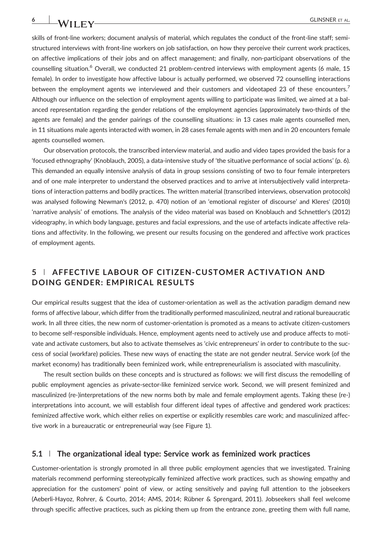skills of front-line workers; document analysis of material, which regulates the conduct of the front-line staff; semistructured interviews with front‐line workers on job satisfaction, on how they perceive their current work practices, on affective implications of their jobs and on affect management; and finally, non‐participant observations of the counselling situation.<sup>6</sup> Overall, we conducted 21 problem-centred interviews with employment agents (6 male, 15 female). In order to investigate how affective labour is actually performed, we observed 72 counselling interactions between the employment agents we interviewed and their customers and videotaped 23 of these encounters.<sup>7</sup> Although our influence on the selection of employment agents willing to participate was limited, we aimed at a balanced representation regarding the gender relations of the employment agencies (approximately two‐thirds of the agents are female) and the gender pairings of the counselling situations: in 13 cases male agents counselled men, in 11 situations male agents interacted with women, in 28 cases female agents with men and in 20 encounters female agents counselled women.

Our observation protocols, the transcribed interview material, and audio and video tapes provided the basis for a 'focused ethnography' (Knoblauch, 2005), a data‐intensive study of 'the situative performance of social actions' (p. 6). This demanded an equally intensive analysis of data in group sessions consisting of two to four female interpreters and of one male interpreter to understand the observed practices and to arrive at intersubjectively valid interpretations of interaction patterns and bodily practices. The written material (transcribed interviews, observation protocols) was analysed following Newman's (2012, p. 470) notion of an 'emotional register of discourse' and Kleres' (2010) 'narrative analysis' of emotions. The analysis of the video material was based on Knoblauch and Schnettler's (2012) videography, in which body language, gestures and facial expressions, and the use of artefacts indicate affective relations and affectivity. In the following, we present our results focusing on the gendered and affective work practices of employment agents.

## 5 | AFFECTIVE LABOUR OF CITIZEN‐CUSTOMER ACTIVATION AND DOING GENDER: EMPIRICAL RESULTS

Our empirical results suggest that the idea of customer‐orientation as well as the activation paradigm demand new forms of affective labour, which differ from the traditionally performed masculinized, neutral and rational bureaucratic work. In all three cities, the new norm of customer-orientation is promoted as a means to activate citizen-customers to become self‐responsible individuals. Hence, employment agents need to actively use and produce affects to motivate and activate customers, but also to activate themselves as 'civic entrepreneurs' in order to contribute to the success of social (workfare) policies. These new ways of enacting the state are not gender neutral. Service work (of the market economy) has traditionally been feminized work, while entrepreneurialism is associated with masculinity.

The result section builds on these concepts and is structured as follows: we will first discuss the remodelling of public employment agencies as private‐sector‐like feminized service work. Second, we will present feminized and masculinized (re‐)interpretations of the new norms both by male and female employment agents. Taking these (re‐) interpretations into account, we will establish four different ideal types of affective and gendered work practices: feminized affective work, which either relies on expertise or explicitly resembles care work; and masculinized affective work in a bureaucratic or entrepreneurial way (see Figure 1).

#### $5.1$  | The organizational ideal type: Service work as feminized work practices

Customer‐orientation is strongly promoted in all three public employment agencies that we investigated. Training materials recommend performing stereotypically feminized affective work practices, such as showing empathy and appreciation for the customers' point of view, or acting sensitively and paying full attention to the jobseekers (Aeberli‐Hayoz, Rohrer, & Courto, 2014; AMS, 2014; Rübner & Sprengard, 2011). Jobseekers shall feel welcome through specific affective practices, such as picking them up from the entrance zone, greeting them with full name,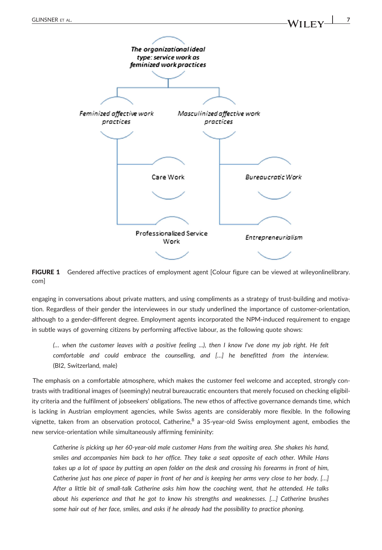

FIGURE 1 Gendered affective practices of employment agent [Colour figure can be viewed at [wileyonlinelibrary.](http://wileyonlinelibrary.com) [com](http://wileyonlinelibrary.com)]

engaging in conversations about private matters, and using compliments as a strategy of trust-building and motivation. Regardless of their gender the interviewees in our study underlined the importance of customer‐orientation, although to a gender‐different degree. Employment agents incorporated the NPM‐induced requirement to engage in subtle ways of governing citizens by performing affective labour, as the following quote shows:

(… when the customer leaves with a positive feeling ...), then I know I've done my job right. He felt comfortable and could embrace the counselling, and […] he benefitted from the interview. (BI2, Switzerland, male)

The emphasis on a comfortable atmosphere, which makes the customer feel welcome and accepted, strongly contrasts with traditional images of (seemingly) neutral bureaucratic encounters that merely focused on checking eligibility criteria and the fulfilment of jobseekers' obligations. The new ethos of affective governance demands time, which is lacking in Austrian employment agencies, while Swiss agents are considerably more flexible. In the following vignette, taken from an observation protocol, Catherine, $8$  a 35-year-old Swiss employment agent, embodies the new service‐orientation while simultaneously affirming femininity:

Catherine is picking up her 60‐year‐old male customer Hans from the waiting area. She shakes his hand, smiles and accompanies him back to her office. They take a seat opposite of each other. While Hans takes up a lot of space by putting an open folder on the desk and crossing his forearms in front of him, Catherine just has one piece of paper in front of her and is keeping her arms very close to her body. […] After a little bit of small-talk Catherine asks him how the coaching went, that he attended. He talks about his experience and that he got to know his strengths and weaknesses. […] Catherine brushes some hair out of her face, smiles, and asks if he already had the possibility to practice phoning.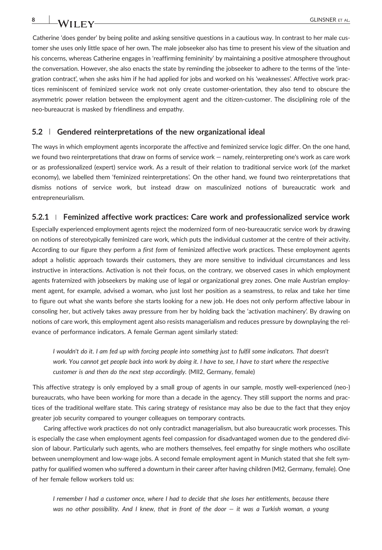Catherine 'does gender' by being polite and asking sensitive questions in a cautious way. In contrast to her male customer she uses only little space of her own. The male jobseeker also has time to present his view of the situation and his concerns, whereas Catherine engages in 'reaffirming femininity' by maintaining a positive atmosphere throughout the conversation. However, she also enacts the state by reminding the jobseeker to adhere to the terms of the 'integration contract', when she asks him if he had applied for jobs and worked on his 'weaknesses'. Affective work practices reminiscent of feminized service work not only create customer-orientation, they also tend to obscure the asymmetric power relation between the employment agent and the citizen-customer. The disciplining role of the neo‐bureaucrat is masked by friendliness and empathy.

#### 5.2 | Gendered reinterpretations of the new organizational ideal

The ways in which employment agents incorporate the affective and feminized service logic differ. On the one hand, we found two reinterpretations that draw on forms of service work — namely, reinterpreting one's work as care work or as professionalized (expert) service work. As a result of their relation to traditional service work (of the market economy), we labelled them 'feminized reinterpretations'. On the other hand, we found two reinterpretations that dismiss notions of service work, but instead draw on masculinized notions of bureaucratic work and entrepreneurialism.

#### 5.2.1 <sup>|</sup> Feminized affective work practices: Care work and professionalized service work

Especially experienced employment agents reject the modernized form of neo-bureaucratic service work by drawing on notions of stereotypically feminized care work, which puts the individual customer at the centre of their activity. According to our figure they perform a first form of feminized affective work practices. These employment agents adopt a holistic approach towards their customers, they are more sensitive to individual circumstances and less instructive in interactions. Activation is not their focus, on the contrary, we observed cases in which employment agents fraternized with jobseekers by making use of legal or organizational grey zones. One male Austrian employment agent, for example, advised a woman, who just lost her position as a seamstress, to relax and take her time to figure out what she wants before she starts looking for a new job. He does not only perform affective labour in consoling her, but actively takes away pressure from her by holding back the 'activation machinery'. By drawing on notions of care work, this employment agent also resists managerialism and reduces pressure by downplaying the relevance of performance indicators. A female German agent similarly stated:

I wouldn't do it. I am fed up with forcing people into something just to fulfil some indicators. That doesn't work. You cannot get people back into work by doing it. I have to see, I have to start where the respective customer is and then do the next step accordingly. (MII2, Germany, female)

This affective strategy is only employed by a small group of agents in our sample, mostly well‐experienced (neo‐) bureaucrats, who have been working for more than a decade in the agency. They still support the norms and practices of the traditional welfare state. This caring strategy of resistance may also be due to the fact that they enjoy greater job security compared to younger colleagues on temporary contracts.

Caring affective work practices do not only contradict managerialism, but also bureaucratic work processes. This is especially the case when employment agents feel compassion for disadvantaged women due to the gendered division of labour. Particularly such agents, who are mothers themselves, feel empathy for single mothers who oscillate between unemployment and low-wage jobs. A second female employment agent in Munich stated that she felt sympathy for qualified women who suffered a downturn in their career after having children (MI2, Germany, female). One of her female fellow workers told us:

I remember I had a customer once, where I had to decide that she loses her entitlements, because there was no other possibility. And I knew, that in front of the door  $-$  it was a Turkish woman, a young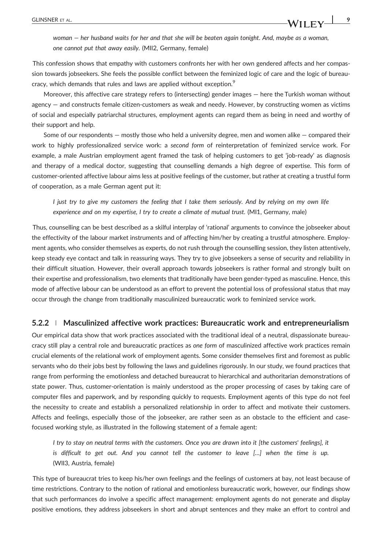This confession shows that empathy with customers confronts her with her own gendered affects and her compassion towards jobseekers. She feels the possible conflict between the feminized logic of care and the logic of bureaucracy, which demands that rules and laws are applied without exception.<sup>9</sup>

Moreover, this affective care strategy refers to (intersecting) gender images — here the Turkish woman without agency — and constructs female citizen-customers as weak and needy. However, by constructing women as victims of social and especially patriarchal structures, employment agents can regard them as being in need and worthy of their support and help.

Some of our respondents — mostly those who held a university degree, men and women alike — compared their work to highly professionalized service work: a second form of reinterpretation of feminized service work. For example, a male Austrian employment agent framed the task of helping customers to get 'job-ready' as diagnosis and therapy of a medical doctor, suggesting that counselling demands a high degree of expertise. This form of customer‐oriented affective labour aims less at positive feelings of the customer, but rather at creating a trustful form of cooperation, as a male German agent put it:

I just try to give my customers the feeling that I take them seriously. And by relying on my own life experience and on my expertise, I try to create a climate of mutual trust. (MI1, Germany, male)

Thus, counselling can be best described as a skilful interplay of 'rational' arguments to convince the jobseeker about the effectivity of the labour market instruments and of affecting him/her by creating a trustful atmosphere. Employment agents, who consider themselves as experts, do not rush through the counselling session, they listen attentively, keep steady eye contact and talk in reassuring ways. They try to give jobseekers a sense of security and reliability in their difficult situation. However, their overall approach towards jobseekers is rather formal and strongly built on their expertise and professionalism, two elements that traditionally have been gender‐typed as masculine. Hence, this mode of affective labour can be understood as an effort to prevent the potential loss of professional status that may occur through the change from traditionally masculinized bureaucratic work to feminized service work.

#### 5.2.2 <sup>|</sup> Masculinized affective work practices: Bureaucratic work and entrepreneurialism

Our empirical data show that work practices associated with the traditional ideal of a neutral, dispassionate bureaucracy still play a central role and bureaucratic practices as one form of masculinized affective work practices remain crucial elements of the relational work of employment agents. Some consider themselves first and foremost as public servants who do their jobs best by following the laws and guidelines rigorously. In our study, we found practices that range from performing the emotionless and detached bureaucrat to hierarchical and authoritarian demonstrations of state power. Thus, customer‐orientation is mainly understood as the proper processing of cases by taking care of computer files and paperwork, and by responding quickly to requests. Employment agents of this type do not feel the necessity to create and establish a personalized relationship in order to affect and motivate their customers. Affects and feelings, especially those of the jobseeker, are rather seen as an obstacle to the efficient and case‐ focused working style, as illustrated in the following statement of a female agent:

I try to stay on neutral terms with the customers. Once you are drawn into it [the customers' feelings], it is difficult to get out. And you cannot tell the customer to leave […] when the time is up. (WII3, Austria, female)

This type of bureaucrat tries to keep his/her own feelings and the feelings of customers at bay, not least because of time restrictions. Contrary to the notion of rational and emotionless bureaucratic work, however, our findings show that such performances do involve a specific affect management: employment agents do not generate and display positive emotions, they address jobseekers in short and abrupt sentences and they make an effort to control and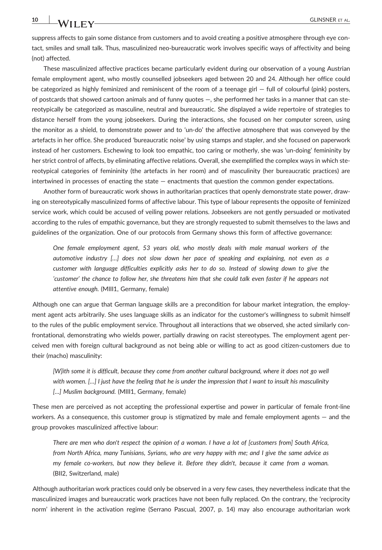suppress affects to gain some distance from customers and to avoid creating a positive atmosphere through eye contact, smiles and small talk. Thus, masculinized neo‐bureaucratic work involves specific ways of affectivity and being (not) affected.

These masculinized affective practices became particularly evident during our observation of a young Austrian female employment agent, who mostly counselled jobseekers aged between 20 and 24. Although her office could be categorized as highly feminized and reminiscent of the room of a teenage girl  $-$  full of colourful (pink) posters, of postcards that showed cartoon animals and of funny quotes —, she performed her tasks in a manner that can stereotypically be categorized as masculine, neutral and bureaucratic. She displayed a wide repertoire of strategies to distance herself from the young jobseekers. During the interactions, she focused on her computer screen, using the monitor as a shield, to demonstrate power and to 'un-do' the affective atmosphere that was conveyed by the artefacts in her office. She produced 'bureaucratic noise' by using stamps and stapler, and she focused on paperwork instead of her customers. Eschewing to look too empathic, too caring or motherly, she was 'un‐doing' femininity by her strict control of affects, by eliminating affective relations. Overall, she exemplified the complex ways in which stereotypical categories of femininity (the artefacts in her room) and of masculinity (her bureaucratic practices) are intertwined in processes of enacting the state — enactments that question the common gender expectations.

Another form of bureaucratic work shows in authoritarian practices that openly demonstrate state power, drawing on stereotypically masculinized forms of affective labour. This type of labour represents the opposite of feminized service work, which could be accused of veiling power relations. Jobseekers are not gently persuaded or motivated according to the rules of empathic governance, but they are strongly requested to submit themselves to the laws and guidelines of the organization. One of our protocols from Germany shows this form of affective governance:

One female employment agent, 53 years old, who mostly deals with male manual workers of the automotive industry […] does not slow down her pace of speaking and explaining, not even as a customer with language difficulties explicitly asks her to do so. Instead of slowing down to give the 'customer' the chance to follow her, she threatens him that she could talk even faster if he appears not attentive enough. (MIII1, Germany, female)

Although one can argue that German language skills are a precondition for labour market integration, the employment agent acts arbitrarily. She uses language skills as an indicator for the customer's willingness to submit himself to the rules of the public employment service. Throughout all interactions that we observed, she acted similarly confrontational, demonstrating who wields power, partially drawing on racist stereotypes. The employment agent perceived men with foreign cultural background as not being able or willing to act as good citizen-customers due to their (macho) masculinity:

[W]ith some it is difficult, because they come from another cultural background, where it does not go well with women. [...] I just have the feeling that he is under the impression that I want to insult his masculinity [...] Muslim background. (MIII1, Germany, female)

These men are perceived as not accepting the professional expertise and power in particular of female front‐line workers. As a consequence, this customer group is stigmatized by male and female employment agents — and the group provokes masculinized affective labour:

There are men who don't respect the opinion of a woman. I have a lot of [customers from] South Africa, from North Africa, many Tunisians, Syrians, who are very happy with me; and I give the same advice as my female co‐workers, but now they believe it. Before they didn't, because it came from a woman. (BII2, Switzerland, male)

Although authoritarian work practices could only be observed in a very few cases, they nevertheless indicate that the masculinized images and bureaucratic work practices have not been fully replaced. On the contrary, the 'reciprocity norm' inherent in the activation regime (Serrano Pascual, 2007, p. 14) may also encourage authoritarian work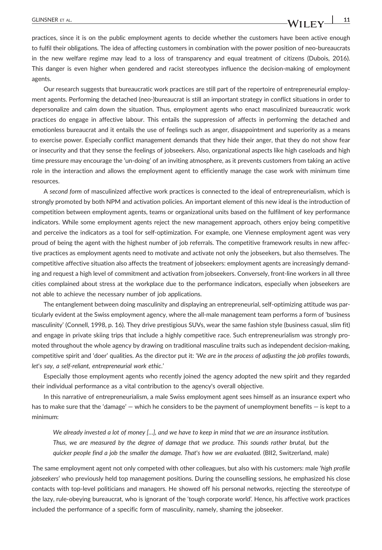practices, since it is on the public employment agents to decide whether the customers have been active enough to fulfil their obligations. The idea of affecting customers in combination with the power position of neo‐bureaucrats in the new welfare regime may lead to a loss of transparency and equal treatment of citizens (Dubois, 2016). This danger is even higher when gendered and racist stereotypes influence the decision-making of employment agents.

Our research suggests that bureaucratic work practices are still part of the repertoire of entrepreneurial employment agents. Performing the detached (neo‐)bureaucrat is still an important strategy in conflict situations in order to depersonalize and calm down the situation. Thus, employment agents who enact masculinized bureaucratic work practices do engage in affective labour. This entails the suppression of affects in performing the detached and emotionless bureaucrat and it entails the use of feelings such as anger, disappointment and superiority as a means to exercise power. Especially conflict management demands that they hide their anger, that they do not show fear or insecurity and that they sense the feelings of jobseekers. Also, organizational aspects like high caseloads and high time pressure may encourage the 'un‐doing' of an inviting atmosphere, as it prevents customers from taking an active role in the interaction and allows the employment agent to efficiently manage the case work with minimum time resources.

A second form of masculinized affective work practices is connected to the ideal of entrepreneurialism, which is strongly promoted by both NPM and activation policies. An important element of this new ideal is the introduction of competition between employment agents, teams or organizational units based on the fulfilment of key performance indicators. While some employment agents reject the new management approach, others enjoy being competitive and perceive the indicators as a tool for self‐optimization. For example, one Viennese employment agent was very proud of being the agent with the highest number of job referrals. The competitive framework results in new affective practices as employment agents need to motivate and activate not only the jobseekers, but also themselves. The competitive affective situation also affects the treatment of jobseekers: employment agents are increasingly demanding and request a high level of commitment and activation from jobseekers. Conversely, front‐line workers in all three cities complained about stress at the workplace due to the performance indicators, especially when jobseekers are not able to achieve the necessary number of job applications.

The entanglement between doing masculinity and displaying an entrepreneurial, self‐optimizing attitude was particularly evident at the Swiss employment agency, where the all‐male management team performs a form of 'business masculinity' (Connell, 1998, p. 16). They drive prestigious SUVs, wear the same fashion style (business casual, slim fit) and engage in private skiing trips that include a highly competitive race. Such entrepreneurialism was strongly promoted throughout the whole agency by drawing on traditional masculine traits such as independent decision-making, competitive spirit and 'doer' qualities. As the director put it: 'We are in the process of adjusting the job profiles towards, let's say, a self‐reliant, entrepreneurial work ethic.'

Especially those employment agents who recently joined the agency adopted the new spirit and they regarded their individual performance as a vital contribution to the agency's overall objective.

In this narrative of entrepreneurialism, a male Swiss employment agent sees himself as an insurance expert who has to make sure that the 'damage' — which he considers to be the payment of unemployment benefits — is kept to a minimum:

We already invested a lot of money [...], and we have to keep in mind that we are an insurance institution. Thus, we are measured by the degree of damage that we produce. This sounds rather brutal, but the quicker people find a job the smaller the damage. That's how we are evaluated. (BII2, Switzerland, male)

The same employment agent not only competed with other colleagues, but also with his customers: male 'high profile jobseekers' who previously held top management positions. During the counselling sessions, he emphasized his close contacts with top‐level politicians and managers. He showed off his personal networks, rejecting the stereotype of the lazy, rule‐obeying bureaucrat, who is ignorant of the 'tough corporate world'. Hence, his affective work practices included the performance of a specific form of masculinity, namely, shaming the jobseeker.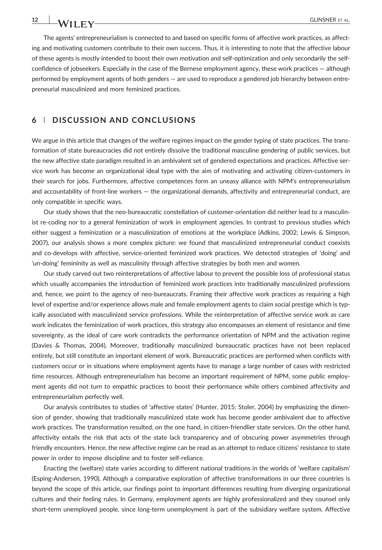The agents' entrepreneurialism is connected to and based on specific forms of affective work practices, as affecting and motivating customers contribute to their own success. Thus, it is interesting to note that the affective labour of these agents is mostly intended to boost their own motivation and self‐optimization and only secondarily the self‐ confidence of jobseekers. Especially in the case of the Bernese employment agency, these work practices — although performed by employment agents of both genders — are used to reproduce a gendered job hierarchy between entrepreneurial masculinized and more feminized practices.

#### 6 | DISCUSSION AND CONCLUSIONS

We argue in this article that changes of the welfare regimes impact on the gender typing of state practices. The transformation of state bureaucracies did not entirely dissolve the traditional masculine gendering of public services, but the new affective state paradigm resulted in an ambivalent set of gendered expectations and practices. Affective service work has become an organizational ideal type with the aim of motivating and activating citizen-customers in their search for jobs. Furthermore, affective competences form an uneasy alliance with NPM's entrepreneurialism and accountability of front‐line workers — the organizational demands, affectivity and entrepreneurial conduct, are only compatible in specific ways.

Our study shows that the neo‐bureaucratic constellation of customer‐orientation did neither lead to a masculinist re-coding nor to a general feminization of work in employment agencies. In contrast to previous studies which either suggest a feminization or a masculinization of emotions at the workplace (Adkins, 2002; Lewis & Simpson, 2007), our analysis shows a more complex picture: we found that masculinized entrepreneurial conduct coexists and co‐develops with affective, service‐oriented feminized work practices. We detected strategies of 'doing' and 'un-doing' femininity as well as masculinity through affective strategies by both men and women.

Our study carved out two reinterpretations of affective labour to prevent the possible loss of professional status which usually accompanies the introduction of feminized work practices into traditionally masculinized professions and, hence, we point to the agency of neo-bureaucrats. Framing their affective work practices as requiring a high level of expertise and/or experience allows male and female employment agents to claim social prestige which is typically associated with masculinized service professions. While the reinterpretation of affective service work as care work indicates the feminization of work practices, this strategy also encompasses an element of resistance and time sovereignty, as the ideal of care work contradicts the performance orientation of NPM and the activation regime (Davies & Thomas, 2004). Moreover, traditionally masculinized bureaucratic practices have not been replaced entirely, but still constitute an important element of work. Bureaucratic practices are performed when conflicts with customers occur or in situations where employment agents have to manage a large number of cases with restricted time resources. Although entrepreneurialism has become an important requirement of NPM, some public employment agents did not turn to empathic practices to boost their performance while others combined affectivity and entrepreneurialism perfectly well.

Our analysis contributes to studies of 'affective states' (Hunter, 2015; Stoler, 2004) by emphasizing the dimension of gender, showing that traditionally masculinized state work has become gender ambivalent due to affective work practices. The transformation resulted, on the one hand, in citizen-friendlier state services. On the other hand, affectivity entails the risk that acts of the state lack transparency and of obscuring power asymmetries through friendly encounters. Hence, the new affective regime can be read as an attempt to reduce citizens' resistance to state power in order to impose discipline and to foster self‐reliance.

Enacting the (welfare) state varies according to different national traditions in the worlds of 'welfare capitalism' (Esping‐Andersen, 1990). Although a comparative exploration of affective transformations in our three countries is beyond the scope of this article, our findings point to important differences resulting from diverging organizational cultures and their feeling rules. In Germany, employment agents are highly professionalized and they counsel only short-term unemployed people, since long-term unemployment is part of the subsidiary welfare system. Affective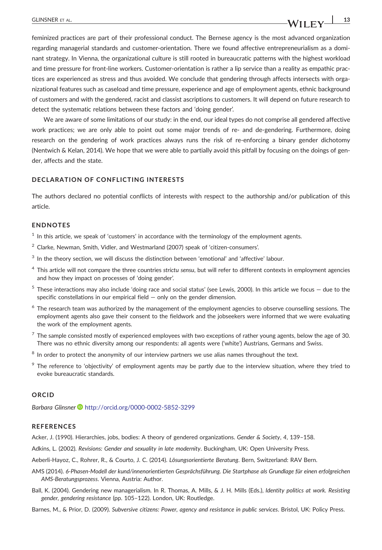## feminized practices are part of their professional conduct. The Bernese agency is the most advanced organization regarding managerial standards and customer‐orientation. There we found affective entrepreneurialism as a dominant strategy. In Vienna, the organizational culture is still rooted in bureaucratic patterns with the highest workload and time pressure for front‐line workers. Customer‐orientation is rather a lip service than a reality as empathic practices are experienced as stress and thus avoided. We conclude that gendering through affects intersects with organizational features such as caseload and time pressure, experience and age of employment agents, ethnic background of customers and with the gendered, racist and classist ascriptions to customers. It will depend on future research to detect the systematic relations between these factors and 'doing gender'.

We are aware of some limitations of our study: in the end, our ideal types do not comprise all gendered affective work practices; we are only able to point out some major trends of re- and de-gendering. Furthermore, doing research on the gendering of work practices always runs the risk of re-enforcing a binary gender dichotomy (Nentwich & Kelan, 2014). We hope that we were able to partially avoid this pitfall by focusing on the doings of gender, affects and the state.

#### DECLARATION OF CONFLICTING INTERESTS

The authors declared no potential conflicts of interests with respect to the authorship and/or publication of this article.

#### ENDNOTES

 $<sup>1</sup>$  In this article, we speak of 'customers' in accordance with the terminology of the employment agents.</sup>

- $2$  Clarke, Newman, Smith, Vidler, and Westmarland (2007) speak of 'citizen-consumers'.
- $3 \text{ In the theory section, we will discuss the distinction between 'emotional' and 'affective' labour.}$
- <sup>4</sup> This article will not compare the three countries strictu sensu, but will refer to different contexts in employment agencies and how they impact on processes of 'doing gender'.
- $5$  These interactions may also include 'doing race and social status' (see Lewis, 2000). In this article we focus  $-$  due to the specific constellations in our empirical field — only on the gender dimension.
- <sup>6</sup> The research team was authorized by the management of the employment agencies to observe counselling sessions. The employment agents also gave their consent to the fieldwork and the jobseekers were informed that we were evaluating the work of the employment agents.
- $7$  The sample consisted mostly of experienced employees with two exceptions of rather young agents, below the age of 30. There was no ethnic diversity among our respondents: all agents were ('white') Austrians, Germans and Swiss.
- $8$  In order to protect the anonymity of our interview partners we use alias names throughout the text.
- The reference to 'objectivity' of employment agents may be partly due to the interview situation, where they tried to evoke bureaucratic standards.

#### ORCID

Barbara Glinsner <http://orcid.org/0000-0002-5852-3299>

#### **REFERENCES**

Acker, J. (1990). Hierarchies, jobs, bodies: A theory of gendered organizations. Gender & Society, 4, 139–158.

Adkins, L. (2002). Revisions: Gender and sexuality in late modernity. Buckingham, UK: Open University Press.

Aeberli‐Hayoz, C., Rohrer, R., & Courto, J. C. (2014). Lösungsorientierte Beratung. Bern, Switzerland: RAV Bern.

- AMS (2014). 6‐Phasen‐Modell der kund/innenorientierten Gesprächsführung. Die Startphase als Grundlage für einen erfolgreichen AMS‐Beratungsprozess. Vienna, Austria: Author.
- Ball, K. (2004). Gendering new managerialism. In R. Thomas, A. Mills, & J. H. Mills (Eds.), Identity politics at work. Resisting gender, gendering resistance (pp. 105–122). London, UK: Routledge.

Barnes, M., & Prior, D. (2009). Subversive citizens: Power, agency and resistance in public services. Bristol, UK: Policy Press.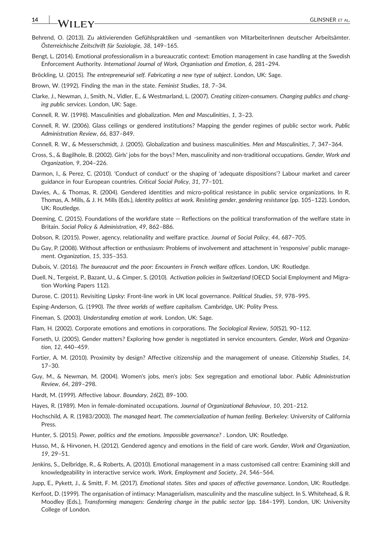## 14 **JA/LETAL TA/LETAL**

- Behrend, O. (2013). Zu aktivierenden Gefühlspraktiken und ‐semantiken von MitarbeiterInnen deutscher Arbeitsämter. Österreichische Zeitschrift für Soziologie, 38, 149–165.
- Bengt, L. (2014). Emotional professionalism in a bureaucratic context: Emotion management in case handling at the Swedish Enforcement Authority. International Journal of Work, Organisation and Emotion, 6, 281–294.
- Bröckling, U. (2015). The entrepreneurial self. Fabricating a new type of subject. London, UK: Sage.
- Brown, W. (1992). Finding the man in the state. Feminist Studies, 18, 7–34.
- Clarke, J., Newman, J., Smith, N., Vidler, E., & Westmarland, L. (2007). Creating citizen‐consumers. Changing publics and changing public services. London, UK: Sage.
- Connell, R. W. (1998). Masculinities and globalization. Men and Masculinities, 1, 3–23.
- Connell, R. W. (2006). Glass ceilings or gendered institutions? Mapping the gender regimes of public sector work. Public Administration Review, 66, 837–849.
- Connell, R. W., & Messerschmidt, J. (2005). Globalization and business masculinities. Men and Masculinities, 7, 347–364.
- Cross, S., & Bagilhole, B. (2002). Girls' jobs for the boys? Men, masculinity and non‐traditional occupations. Gender, Work and Organization, 9, 204–226.
- Darmon, I., & Perez, C. (2010). 'Conduct of conduct' or the shaping of 'adequate dispositions'? Labour market and career guidance in four European countries. Critical Social Policy, 31, 77–101.
- Davies, A., & Thomas, R. (2004). Gendered identities and micro-political resistance in public service organizations. In R. Thomas, A. Mills, & J. H. Mills (Eds.), Identity politics at work. Resisting gender, gendering resistance (pp. 105–122). London, UK: Routledge.
- Deeming, C. (2015). Foundations of the workfare state Reflections on the political transformation of the welfare state in Britain. Social Policy & Administration, 49, 862–886.
- Dobson, R. (2015). Power, agency, relationality and welfare practice. Journal of Social Policy, 44, 687–705.
- Du Gay, P. (2008). Without affection or enthusiasm: Problems of involvement and attachment in 'responsive' public management. Organization, 15, 335–353.
- Dubois, V. (2016). The bureaucrat and the poor: Encounters in French welfare offices. London, UK: Routledge.
- Duell, N., Tergeist, P., Bazant, U., & Cimper, S. (2010). Activation policies in Switzerland (OECD Social Employment and Migration Working Papers 112).
- Durose, C. (2011). Revisiting Lipsky: Front‐line work in UK local governance. Political Studies, 59, 978–995.
- Esping‐Anderson, G. (1990). The three worlds of welfare capitalism. Cambridge, UK: Polity Press.
- Fineman, S. (2003). Understanding emotion at work. London, UK: Sage.
- Flam, H. (2002). Corporate emotions and emotions in corporations. The Sociological Review, 50(S2), 90-112.
- Forseth, U. (2005). Gender matters? Exploring how gender is negotiated in service encounters. Gender, Work and Organization, 12, 440–459.
- Fortier, A. M. (2010). Proximity by design? Affective citizenship and the management of unease. Citizenship Studies, 14, 17–30.
- Guy, M., & Newman, M. (2004). Women's jobs, men's jobs: Sex segregation and emotional labor. Public Administration Review, 64, 289–298.
- Hardt, M. (1999). Affective labour. Boundary, 26(2), 89–100.
- Hayes, R. (1989). Men in female‐dominated occupations. Journal of Organizational Behaviour, 10, 201–212.
- Hochschild, A. R. (1983/2003). The managed heart. The commercialization of human feeling. Berkeley: University of California Press.
- Hunter, S. (2015). Power, politics and the emotions. Impossible governance? . London, UK: Routledge.
- Husso, M., & Hirvonen, H. (2012). Gendered agency and emotions in the field of care work. Gender, Work and Organization, 19, 29–51.
- Jenkins, S., Delbridge, R., & Roberts, A. (2010). Emotional management in a mass customised call centre: Examining skill and knowledgeability in interactive service work. Work, Employment and Society, 24, 546–564.
- Jupp, E., Pykett, J., & Smitt, F. M. (2017). Emotional states. Sites and spaces of affective governance. London, UK: Routledge.
- Kerfoot, D. (1999). The organisation of intimacy: Managerialism, masculinity and the masculine subject. In S. Whitehead, & R. Moodley (Eds.), Transforming managers: Gendering change in the public sector (pp. 184–199). London, UK: University College of London.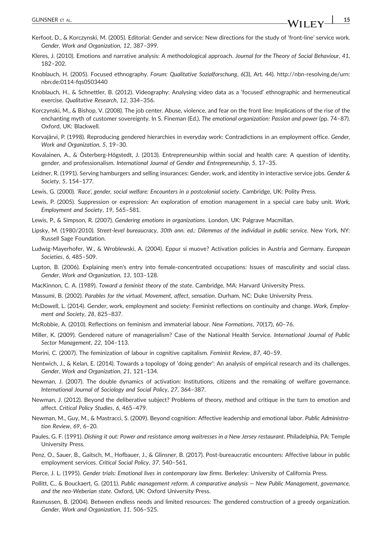- Kerfoot, D., & Korczynski, M. (2005). Editorial: Gender and service: New directions for the study of 'front‐line' service work. Gender, Work and Organization, 12, 387–399.
- Kleres, J. (2010). Emotions and narrative analysis: A methodological approach. Journal for the Theory of Social Behaviour, 41, 182–202.
- Knoblauch, H. (2005). Focused ethnography. Forum: Qualitative Sozialforschung, 6(3), Art. 44). http://nbn‐[resolving.de/urn:](http://nbn-resolving.de/urn:nbn:de:0114-fqs0503440) [nbn:de:0114](http://nbn-resolving.de/urn:nbn:de:0114-fqs0503440)‐fqs0503440
- Knoblauch, H., & Schnettler, B. (2012). Videography: Analysing video data as a 'focused' ethnographic and hermeneutical exercise. Qualitative Research, 12, 334–356.
- Korczynski, M., & Bishop, V. (2008). The job center. Abuse, violence, and fear on the front line: Implications of the rise of the enchanting myth of customer sovereignty. In S. Fineman (Ed.), The emotional organization: Passion and power (pp. 74–87). Oxford, UK: Blackwell.
- Korvajärvi, P. (1998). Reproducing gendered hierarchies in everyday work: Contradictions in an employment office. Gender, Work and Organization, 5, 19–30.
- Kovalainen, A., & Österberg‐Högstedt, J. (2013). Entrepreneurship within social and health care: A question of identity, gender, and professionalism. International Journal of Gender and Entrepreneurship, 5, 17–35.
- Leidner, R. (1991). Serving hamburgers and selling insurances: Gender, work, and identity in interactive service jobs. Gender & Society, 5, 154–177.
- Lewis, G. (2000). 'Race', gender, social welfare: Encounters in a postcolonial society. Cambridge, UK: Polity Press.
- Lewis, P. (2005). Suppression or expression: An exploration of emotion management in a special care baby unit. Work, Employment and Society, 19, 565–581.
- Lewis, P., & Simpson, R. (2007). Gendering emotions in organizations. London, UK: Palgrave Macmillan.
- Lipsky, M. (1980/2010). Street‐level bureaucracy, 30th ann. ed.: Dilemmas of the individual in public service. New York, NY: Russell Sage Foundation.
- Ludwig‐Mayerhofer, W., & Wroblewski, A. (2004). Eppur si muove? Activation policies in Austria and Germany. European Societies, 6, 485–509.
- Lupton, B. (2006). Explaining men's entry into female-concentrated occupations: Issues of masculinity and social class. Gender, Work and Organization, 13, 103–128.
- MacKinnon, C. A. (1989). Toward a feminist theory of the state. Cambridge, MA: Harvard University Press.
- Massumi, B. (2002). Parables for the virtual. Movement, affect, sensation. Durham, NC: Duke University Press.
- McDowell, L. (2014). Gender, work, employment and society: Feminist reflections on continuity and change. Work, Employment and Society, 28, 825–837.
- McRobbie, A. (2010). Reflections on feminism and immaterial labour. New Formations, 70(17), 60–76.
- Miller, K. (2009). Gendered nature of managerialism? Case of the National Health Service. International Journal of Public Sector Management, 22, 104–113.
- Morini, C. (2007). The feminization of labour in cognitive capitalism. Feminist Review, 87, 40–59.
- Nentwich, J., & Kelan, E. (2014). Towards a topology of 'doing gender': An analysis of empirical research and its challenges. Gender, Work and Organization, 21, 121–134.
- Newman, J. (2007). The double dynamics of activation: Institutions, citizens and the remaking of welfare governance. International Journal of Sociology and Social Policy, 27, 364–387.
- Newman, J. (2012). Beyond the deliberative subject? Problems of theory, method and critique in the turn to emotion and affect. Critical Policy Studies, 6, 465–479.
- Newman, M., Guy, M., & Mastracci, S. (2009). Beyond cognition: Affective leadership and emotional labor. Public Administration Review, 69, 6–20.
- Paules, G. F. (1991). Dishing it out: Power and resistance among waitresses in a New Jersey restaurant. Philadelphia, PA: Temple University Press.
- Penz, O., Sauer, B., Gaitsch, M., Hofbauer, J., & Glinsner, B. (2017). Post‐bureaucratic encounters: Affective labour in public employment services. Critical Social Policy, 37, 540–561.
- Pierce, J. L. (1995). Gender trials: Emotional lives in contemporary law firms. Berkeley: University of California Press.
- Pollitt, C., & Bouckaert, G. (2011). Public management reform. A comparative analysis New Public Management, governance, and the neo‐Weberian state. Oxford, UK: Oxford University Press.
- Rasmussen, B. (2004). Between endless needs and limited resources: The gendered construction of a greedy organization. Gender, Work and Organization, 11, 506–525.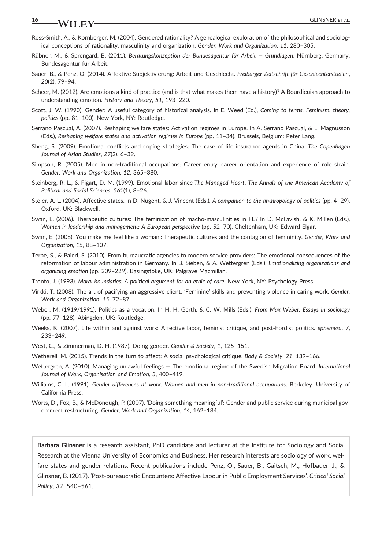## 16 GLINSNER ET AL.

- Ross‐Smith, A., & Kornberger, M. (2004). Gendered rationality? A genealogical exploration of the philosophical and sociological conceptions of rationality, masculinity and organization. Gender, Work and Organization, 11, 280–305.
- Rübner, M., & Sprengard, B. (2011). Beratungskonzeption der Bundesagentur für Arbeit Grundlagen. Nürnberg, Germany: Bundesagentur für Arbeit.
- Sauer, B., & Penz, O. (2014). Affektive Subjektivierung: Arbeit und Geschlecht. Freiburger Zeitschrift für Geschlechterstudien, 20(2), 79–94.
- Scheer, M. (2012). Are emotions a kind of practice (and is that what makes them have a history)? A Bourdieuian approach to understanding emotion. History and Theory, 51, 193–220.
- Scott, J. W. (1990). Gender: A useful category of historical analysis. In E. Weed (Ed.), Coming to terms. Feminism, theory, politics (pp. 81–100). New York, NY: Routledge.
- Serrano Pascual, A. (2007). Reshaping welfare states: Activation regimes in Europe. In A. Serrano Pascual, & L. Magnusson (Eds.), Reshaping welfare states and activation regimes in Europe (pp. 11–34). Brussels, Belgium: Peter Lang.
- Sheng, S. (2009). Emotional conflicts and coping strategies: The case of life insurance agents in China. The Copenhagen Journal of Asian Studies, 27(2), 6–39.
- Simpson, R. (2005). Men in non-traditional occupations: Career entry, career orientation and experience of role strain. Gender, Work and Organization, 12, 365–380.
- Steinberg, R. L., & Figart, D. M. (1999). Emotional labor since The Managed Heart. The Annals of the American Academy of Political and Social Sciences, 561(1), 8–26.
- Stoler, A. L. (2004). Affective states. In D. Nugent, & J. Vincent (Eds.), A companion to the anthropology of politics (pp. 4–29). Oxford, UK: Blackwell.
- Swan, E. (2006). Therapeutic cultures: The feminization of macho‐masculinities in FE? In D. McTavish, & K. Millen (Eds.), Women in leadership and management: A European perspective (pp. 52–70). Cheltenham, UK: Edward Elgar.
- Swan, E. (2008). You make me feel like a woman': Therapeutic cultures and the contagion of femininity. Gender, Work and Organization, 15, 88–107.
- Terpe, S., & Paierl, S. (2010). From bureaucratic agencies to modern service providers: The emotional consequences of the reformation of labour administration in Germany. In B. Sieben, & A. Wettergren (Eds.), Emotionalizing organizations and organizing emotion (pp. 209–229). Basingstoke, UK: Palgrave Macmillan.
- Tronto, J. (1993). Moral boundaries: A political argument for an ethic of care. New York, NY: Psychology Press.
- Virkki, T. (2008). The art of pacifying an aggressive client: 'Feminine' skills and preventing violence in caring work. Gender, Work and Organization, 15, 72–87.
- Weber, M. (1919/1991). Politics as a vocation. In H. H. Gerth, & C. W. Mills (Eds.), From Max Weber: Essays in sociology (pp. 77–128). Abingdon, UK: Routledge.
- Weeks, K. (2007). Life within and against work: Affective labor, feminist critique, and post-Fordist politics. ephemera, 7, 233–249.
- West, C., & Zimmerman, D. H. (1987). Doing gender. Gender & Society, 1, 125–151.
- Wetherell, M. (2015). Trends in the turn to affect: A social psychological critique. Body & Society, 21, 139-166.
- Wettergren, A. (2010). Managing unlawful feelings The emotional regime of the Swedish Migration Board. International Journal of Work, Organisation and Emotion, 3, 400–419.
- Williams, C. L. (1991). Gender differences at work. Women and men in non-traditional occupations. Berkeley: University of California Press.
- Worts, D., Fox, B., & McDonough, P. (2007). 'Doing something meaningful': Gender and public service during municipal government restructuring. Gender, Work and Organization, 14, 162–184.

Barbara Glinsner is a research assistant, PhD candidate and lecturer at the Institute for Sociology and Social Research at the Vienna University of Economics and Business. Her research interests are sociology of work, welfare states and gender relations. Recent publications include Penz, O., Sauer, B., Gaitsch, M., Hofbauer, J., & Glinsner, B. (2017). 'Post‐bureaucratic Encounters: Affective Labour in Public Employment Services'. Critical Social Policy, 37, 540–561.